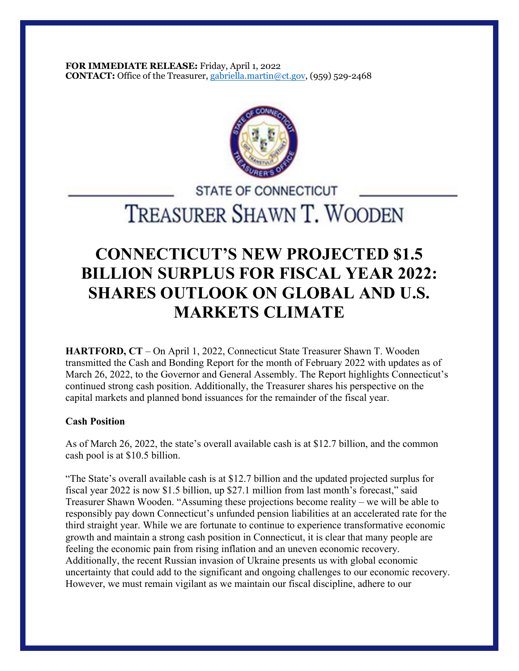**FOR IMMEDIATE RELEASE:** Friday, April 1, 2022 **CONTACT:** Office of the Treasurer, gabriella.martin@ct.gov, (959) 529-2468



# **STATE OF CONNECTICUT** TREASURER SHAWN T. WOODEN

# **CONNECTICUT'S NEW PROJECTED \$1.5 BILLION SURPLUS FOR FISCAL YEAR 2022: SHARES OUTLOOK ON GLOBAL AND U.S. MARKETS CLIMATE**

**HARTFORD, CT** – On April 1, 2022, Connecticut State Treasurer Shawn T. Wooden transmitted the Cash and Bonding Report for the month of February 2022 with updates as of March 26, 2022, to the Governor and General Assembly. The Report highlights Connecticut's continued strong cash position. Additionally, the Treasurer shares his perspective on the capital markets and planned bond issuances for the remainder of the fiscal year.

## **Cash Position**

As of March 26, 2022, the state's overall available cash is at \$12.7 billion, and the common cash pool is at \$10.5 billion.

"The State's overall available cash is at \$12.7 billion and the updated projected surplus for fiscal year 2022 is now \$1.5 billion, up \$27.1 million from last month's forecast," said Treasurer Shawn Wooden. "Assuming these projections become reality – we will be able to responsibly pay down Connecticut's unfunded pension liabilities at an accelerated rate for the third straight year. While we are fortunate to continue to experience transformative economic growth and maintain a strong cash position in Connecticut, it is clear that many people are feeling the economic pain from rising inflation and an uneven economic recovery. Additionally, the recent Russian invasion of Ukraine presents us with global economic uncertainty that could add to the significant and ongoing challenges to our economic recovery. However, we must remain vigilant as we maintain our fiscal discipline, adhere to our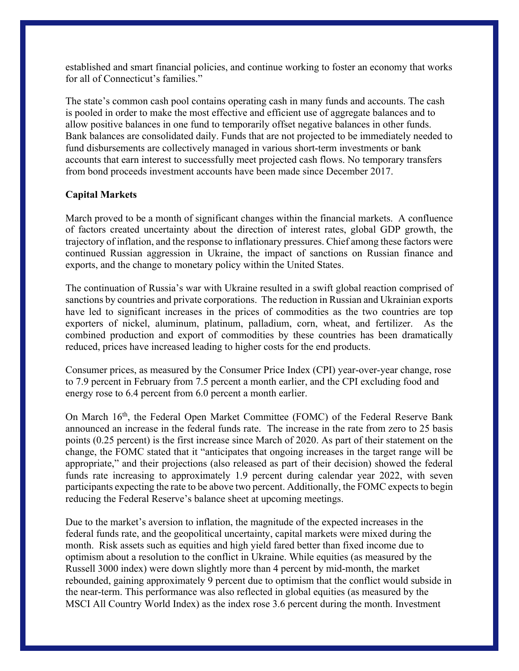established and smart financial policies, and continue working to foster an economy that works for all of Connecticut's families."

The state's common cash pool contains operating cash in many funds and accounts. The cash is pooled in order to make the most effective and efficient use of aggregate balances and to allow positive balances in one fund to temporarily offset negative balances in other funds. Bank balances are consolidated daily. Funds that are not projected to be immediately needed to fund disbursements are collectively managed in various short-term investments or bank accounts that earn interest to successfully meet projected cash flows. No temporary transfers from bond proceeds investment accounts have been made since December 2017.

## **Capital Markets**

March proved to be a month of significant changes within the financial markets. A confluence of factors created uncertainty about the direction of interest rates, global GDP growth, the trajectory of inflation, and the response to inflationary pressures. Chief among these factors were continued Russian aggression in Ukraine, the impact of sanctions on Russian finance and exports, and the change to monetary policy within the United States.

The continuation of Russia's war with Ukraine resulted in a swift global reaction comprised of sanctions by countries and private corporations. The reduction in Russian and Ukrainian exports have led to significant increases in the prices of commodities as the two countries are top exporters of nickel, aluminum, platinum, palladium, corn, wheat, and fertilizer. As the combined production and export of commodities by these countries has been dramatically reduced, prices have increased leading to higher costs for the end products.

Consumer prices, as measured by the Consumer Price Index (CPI) year-over-year change, rose to 7.9 percent in February from 7.5 percent a month earlier, and the CPI excluding food and energy rose to 6.4 percent from 6.0 percent a month earlier.

On March 16th, the Federal Open Market Committee (FOMC) of the Federal Reserve Bank announced an increase in the federal funds rate. The increase in the rate from zero to 25 basis points (0.25 percent) is the first increase since March of 2020. As part of their statement on the change, the FOMC stated that it "anticipates that ongoing increases in the target range will be appropriate," and their projections (also released as part of their decision) showed the federal funds rate increasing to approximately 1.9 percent during calendar year 2022, with seven participants expecting the rate to be above two percent. Additionally, the FOMC expects to begin reducing the Federal Reserve's balance sheet at upcoming meetings.

Due to the market's aversion to inflation, the magnitude of the expected increases in the federal funds rate, and the geopolitical uncertainty, capital markets were mixed during the month. Risk assets such as equities and high yield fared better than fixed income due to optimism about a resolution to the conflict in Ukraine. While equities (as measured by the Russell 3000 index) were down slightly more than 4 percent by mid-month, the market rebounded, gaining approximately 9 percent due to optimism that the conflict would subside in the near-term. This performance was also reflected in global equities (as measured by the MSCI All Country World Index) as the index rose 3.6 percent during the month. Investment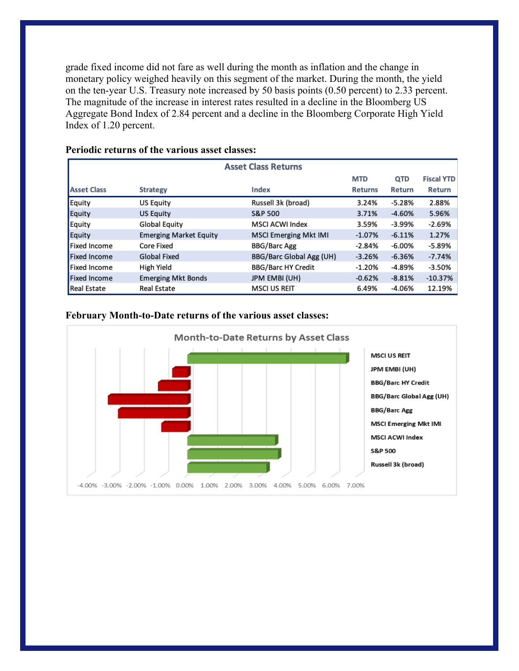grade fixed income did not fare as well during the month as inflation and the change in monetary policy weighed heavily on this segment of the market. During the month, the yield on the ten-year U.S. Treasury note increased by 50 basis points (0.50 percent) to 2.33 percent. The magnitude of the increase in interest rates resulted in a decline in the Bloomberg US Aggregate Bond Index of 2.84 percent and a decline in the Bloomberg Corporate High Yield Index of 1.20 percent.

| <b>Asset Class Returns</b> |                               |                              |                |          |                   |
|----------------------------|-------------------------------|------------------------------|----------------|----------|-------------------|
|                            |                               |                              | <b>MTD</b>     | QTD      | <b>Fiscal YTD</b> |
| <b>Asset Class</b>         | <b>Strategy</b>               | Index                        | <b>Returns</b> | Return   | Return            |
| Equity                     | <b>US Equity</b>              | Russell 3k (broad)           | 3.24%          | $-5.28%$ | 2.88%             |
| Equity                     | <b>US Equity</b>              | <b>S&amp;P 500</b>           | 3.71%          | $-4.60%$ | 5.96%             |
| Equity                     | Global Equity                 | <b>MSCI ACWI Index</b>       | 3.59%          | -3.99%   | $-2.69%$          |
| Equity                     | <b>Emerging Market Equity</b> | <b>MSCI Emerging Mkt IMI</b> | $-1.07%$       | $-6.11%$ | 1.27%             |
| <b>Fixed Income</b>        | Core Fixed                    | <b>BBG/Barc Agg</b>          | $-2.84%$       | -6.00%   | -5.89%            |
| <b>Fixed Income</b>        | <b>Global Fixed</b>           | BBG/Barc Global Agg (UH)     | $-3.26%$       | $-6.36%$ | $-7.74%$          |
| <b>Fixed Income</b>        | High Yield                    | <b>BBG/Barc HY Credit</b>    | $-1.20%$       | $-4.89%$ | $-3.50%$          |
| <b>Fixed Income</b>        | <b>Emerging Mkt Bonds</b>     | <b>JPM EMBI (UH)</b>         | $-0.62%$       | $-8.81%$ | $-10.37%$         |
| <b>Real Estate</b>         | <b>Real Estate</b>            | <b>MSCI US REIT</b>          | 6.49%          | -4.06%   | 12.19%            |

## **Periodic returns of the various asset classes:**

#### **February Month-to-Date returns of the various asset classes:**

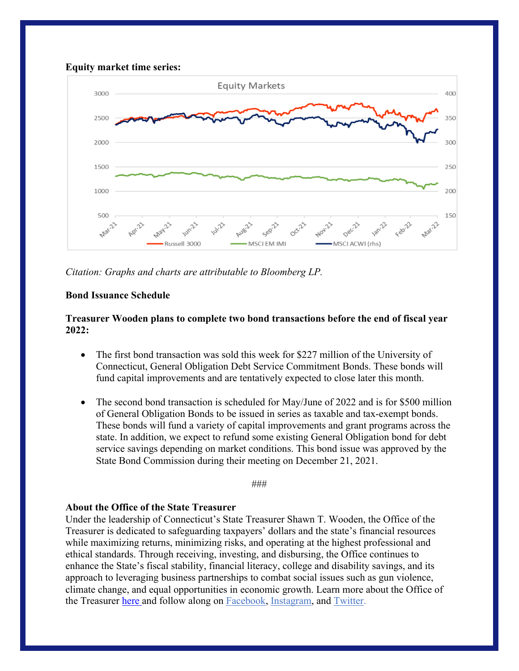

*Citation: Graphs and charts are attributable to Bloomberg LP.*

## **Bond Issuance Schedule**

## **Treasurer Wooden plans to complete two bond transactions before the end of fiscal year 2022:**

- The first bond transaction was sold this week for \$227 million of the University of Connecticut, General Obligation Debt Service Commitment Bonds. These bonds will fund capital improvements and are tentatively expected to close later this month.
- The second bond transaction is scheduled for May/June of 2022 and is for \$500 million of General Obligation Bonds to be issued in series as taxable and tax-exempt bonds. These bonds will fund a variety of capital improvements and grant programs across the state. In addition, we expect to refund some existing General Obligation bond for debt service savings depending on market conditions. This bond issue was approved by the State Bond Commission during their meeting on December 21, 2021.

###

#### **About the Office of the State Treasurer**

Under the leadership of Connecticut's State Treasurer Shawn T. Wooden, the Office of the Treasurer is dedicated to safeguarding taxpayers' dollars and the state's financial resources while maximizing returns, minimizing risks, and operating at the highest professional and ethical standards. Through receiving, investing, and disbursing, the Office continues to enhance the State's fiscal stability, financial literacy, college and disability savings, and its approach to leveraging business partnerships to combat social issues such as gun violence, climate change, and equal opportunities in economic growth. Learn more about the Office of the Treasurer here and follow along on Facebook, Instagram, and Twitter.